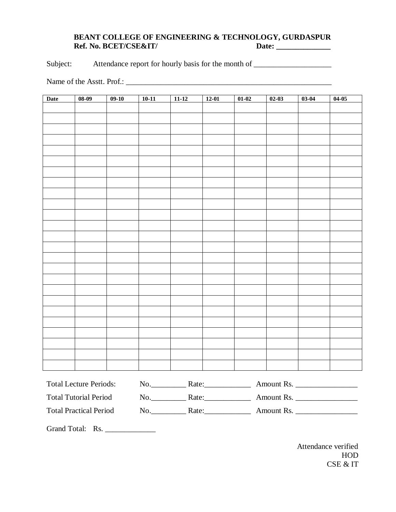## **BEANT COLLEGE OF ENGINEERING & TECHNOLOGY, GURDASPUR Ref. No. BCET/CSE&IT/**

Subject: Attendance report for hourly basis for the month of \_\_\_\_\_\_\_\_\_\_\_\_\_\_\_\_\_\_\_

Name of the Asstt. Prof.: \_\_\_\_\_\_\_\_\_\_\_\_\_\_\_\_\_\_\_\_\_\_\_\_\_\_\_\_\_\_\_\_\_\_\_\_\_\_\_\_\_\_\_\_\_\_\_\_\_\_\_\_\_

| <b>Date</b> | $08-09$ | $09-10$ | $10-11$ | $11-12$ | $12-01$ | $01-02$ | $02-03$ | $03-04$ | $04-05$ |
|-------------|---------|---------|---------|---------|---------|---------|---------|---------|---------|
|             |         |         |         |         |         |         |         |         |         |
|             |         |         |         |         |         |         |         |         |         |
|             |         |         |         |         |         |         |         |         |         |
|             |         |         |         |         |         |         |         |         |         |
|             |         |         |         |         |         |         |         |         |         |
|             |         |         |         |         |         |         |         |         |         |
|             |         |         |         |         |         |         |         |         |         |
|             |         |         |         |         |         |         |         |         |         |
|             |         |         |         |         |         |         |         |         |         |
|             |         |         |         |         |         |         |         |         |         |
|             |         |         |         |         |         |         |         |         |         |
|             |         |         |         |         |         |         |         |         |         |
|             |         |         |         |         |         |         |         |         |         |
|             |         |         |         |         |         |         |         |         |         |
|             |         |         |         |         |         |         |         |         |         |
|             |         |         |         |         |         |         |         |         |         |
|             |         |         |         |         |         |         |         |         |         |
|             |         |         |         |         |         |         |         |         |         |
|             |         |         |         |         |         |         |         |         |         |
|             |         |         |         |         |         |         |         |         |         |
|             |         |         |         |         |         |         |         |         |         |
|             |         |         |         |         |         |         |         |         |         |
|             |         |         |         |         |         |         |         |         |         |
|             |         |         |         |         |         |         |         |         |         |
|             |         |         |         |         |         |         |         |         |         |
|             |         |         |         |         |         |         |         |         |         |

| <b>Total Lecture Periods:</b> | NO. | Rate: | Amount Rs. |
|-------------------------------|-----|-------|------------|
| <b>Total Tutorial Period</b>  | No  | Rate: | Amount Rs. |
| <b>Total Practical Period</b> | NO. | Rate: | Amount Rs. |

Grand Total: Rs. \_\_\_\_\_\_\_\_\_\_\_\_\_

Attendance verified HOD CSE & IT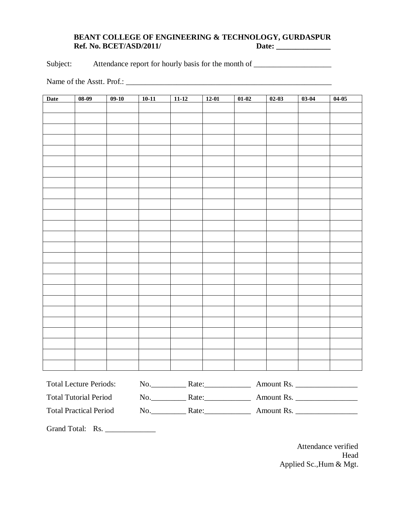## **BEANT COLLEGE OF ENGINEERING & TECHNOLOGY, GURDASPUR Ref. No. BCET/ASD/2011/**

Subject: Attendance report for hourly basis for the month of \_\_\_\_\_\_\_\_\_\_\_\_\_\_\_\_\_\_\_

Name of the Asstt. Prof.:

| <b>Date</b> | $08-09$ | $09-10$ | $10-11$ | $11-12$ | $12-01$ | $01-02$ | $02-03$ | $03-04$ | $04-05$ |
|-------------|---------|---------|---------|---------|---------|---------|---------|---------|---------|
|             |         |         |         |         |         |         |         |         |         |
|             |         |         |         |         |         |         |         |         |         |
|             |         |         |         |         |         |         |         |         |         |
|             |         |         |         |         |         |         |         |         |         |
|             |         |         |         |         |         |         |         |         |         |
|             |         |         |         |         |         |         |         |         |         |
|             |         |         |         |         |         |         |         |         |         |
|             |         |         |         |         |         |         |         |         |         |
|             |         |         |         |         |         |         |         |         |         |
|             |         |         |         |         |         |         |         |         |         |
|             |         |         |         |         |         |         |         |         |         |
|             |         |         |         |         |         |         |         |         |         |
|             |         |         |         |         |         |         |         |         |         |
|             |         |         |         |         |         |         |         |         |         |
|             |         |         |         |         |         |         |         |         |         |
|             |         |         |         |         |         |         |         |         |         |
|             |         |         |         |         |         |         |         |         |         |
|             |         |         |         |         |         |         |         |         |         |
|             |         |         |         |         |         |         |         |         |         |
|             |         |         |         |         |         |         |         |         |         |
|             |         |         |         |         |         |         |         |         |         |
|             |         |         |         |         |         |         |         |         |         |
|             |         |         |         |         |         |         |         |         |         |
|             |         |         |         |         |         |         |         |         |         |
|             |         |         |         |         |         |         |         |         |         |
|             |         |         |         |         |         |         |         |         |         |

| <b>Total Lecture Periods:</b> | NO. | Rate: | Amount Rs. |
|-------------------------------|-----|-------|------------|
| <b>Total Tutorial Period</b>  | No  | Rate: | Amount Rs. |
| <b>Total Practical Period</b> | NO. | Rate: | Amount Rs. |

Grand Total: Rs. \_\_\_\_\_\_\_\_\_\_\_\_\_

Attendance verified Head Applied Sc.,Hum & Mgt.